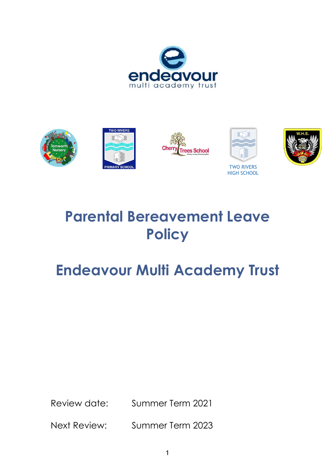



# **Parental Bereavement Leave Policy**

# **Endeavour Multi Academy Trust**

Review date: Summer Term 2021

Next Review: Summer Term 2023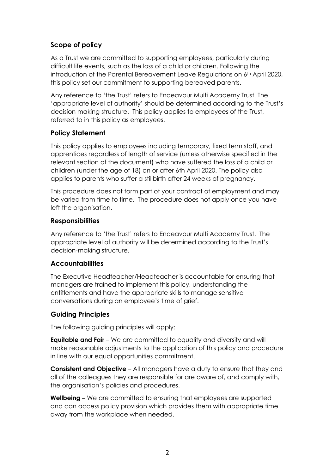## **Scope of policy**

As a Trust we are committed to supporting employees, particularly during difficult life events, such as the loss of a child or children. Following the introduction of the Parental Bereavement Leave Regulations on  $6<sup>th</sup>$  April 2020, this policy set our commitment to supporting bereaved parents.

Any reference to 'the Trust' refers to Endeavour Multi Academy Trust. The 'appropriate level of authority' should be determined according to the Trust's decision making structure. This policy applies to employees of the Trust, referred to in this policy as employees.

### **Policy Statement**

This policy applies to employees including temporary, fixed term staff, and apprentices regardless of length of service (unless otherwise specified in the relevant section of the document) who have suffered the loss of a child or children (under the age of 18) on or after 6th April 2020. The policy also applies to parents who suffer a stillbirth after 24 weeks of pregnancy.

This procedure does not form part of your contract of employment and may be varied from time to time. The procedure does not apply once you have left the organisation.

#### **Responsibilities**

Any reference to 'the Trust' refers to Endeavour Multi Academy Trust. The appropriate level of authority will be determined according to the Trust's decision-making structure.

#### **Accountabilities**

The Executive Headteacher/Headteacher is accountable for ensuring that managers are trained to implement this policy, understanding the entitlements and have the appropriate skills to manage sensitive conversations during an employee's time of grief.

### **Guiding Principles**

The following guiding principles will apply:

**Equitable and Fair** – We are committed to equality and diversity and will make reasonable adjustments to the application of this policy and procedure in line with our equal opportunities commitment.

**Consistent and Objective** – All managers have a duty to ensure that they and all of the colleagues they are responsible for are aware of, and comply with, the organisation's policies and procedures.

**Wellbeing –** We are committed to ensuring that employees are supported and can access policy provision which provides them with appropriate time away from the workplace when needed.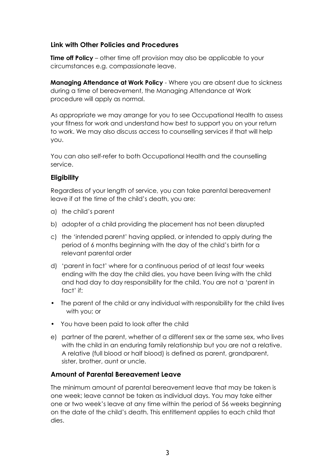### **Link with Other Policies and Procedures**

**Time off Policy** – other time off provision may also be applicable to your circumstances e.g. compassionate leave.

**Managing Attendance at Work Policy** - Where you are absent due to sickness during a time of bereavement, the Managing Attendance at Work procedure will apply as normal.

As appropriate we may arrange for you to see Occupational Health to assess your fitness for work and understand how best to support you on your return to work. We may also discuss access to counselling services if that will help you.

You can also self-refer to both Occupational Health and the counselling service.

## **Eligibility**

Regardless of your length of service, you can take parental bereavement leave if at the time of the child's death, you are:

- a) the child's parent
- b) adopter of a child providing the placement has not been disrupted
- c) the 'intended parent' having applied, or intended to apply during the period of 6 months beginning with the day of the child's birth for a relevant parental order
- d) 'parent in fact' where for a continuous period of at least four weeks ending with the day the child dies, you have been living with the child and had day to day responsibility for the child. You are not a 'parent in fact' if:
- The parent of the child or any individual with responsibility for the child lives with you; or
- You have been paid to look after the child
- e) partner of the parent, whether of a different sex or the same sex, who lives with the child in an enduring family relationship but you are not a relative. A relative (full blood or half blood) is defined as parent, grandparent, sister, brother, aunt or uncle.

### **Amount of Parental Bereavement Leave**

The minimum amount of parental bereavement leave that may be taken is one week; leave cannot be taken as individual days. You may take either one or two week's leave at any time within the period of 56 weeks beginning on the date of the child's death. This entitlement applies to each child that dies.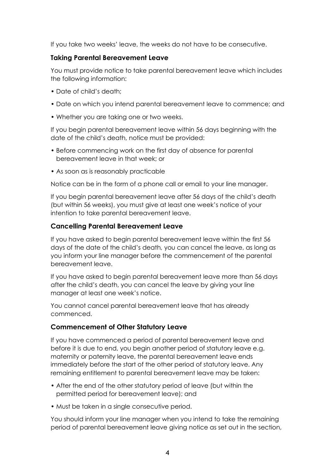If you take two weeks' leave, the weeks do not have to be consecutive.

#### **Taking Parental Bereavement Leave**

You must provide notice to take parental bereavement leave which includes the following information:

- Date of child's death:
- Date on which you intend parental bereavement leave to commence; and
- Whether you are taking one or two weeks.

If you begin parental bereavement leave within 56 days beginning with the date of the child's death, notice must be provided:

- Before commencing work on the first day of absence for parental bereavement leave in that week; or
- As soon as is reasonably practicable

Notice can be in the form of a phone call or email to your line manager.

If you begin parental bereavement leave after 56 days of the child's death (but within 56 weeks), you must give at least one week's notice of your intention to take parental bereavement leave.

### **Cancelling Parental Bereavement Leave**

If you have asked to begin parental bereavement leave within the first 56 days of the date of the child's death, you can cancel the leave, as long as you inform your line manager before the commencement of the parental bereavement leave.

If you have asked to begin parental bereavement leave more than 56 days after the child's death, you can cancel the leave by giving your line manager at least one week's notice.

You cannot cancel parental bereavement leave that has already commenced.

### **Commencement of Other Statutory Leave**

If you have commenced a period of parental bereavement leave and before it is due to end, you begin another period of statutory leave e.g. maternity or paternity leave, the parental bereavement leave ends immediately before the start of the other period of statutory leave. Any remaining entitlement to parental bereavement leave may be taken:

- After the end of the other statutory period of leave (but within the permitted period for bereavement leave); and
- Must be taken in a single consecutive period.

You should inform your line manager when you intend to take the remaining period of parental bereavement leave giving notice as set out in the section,